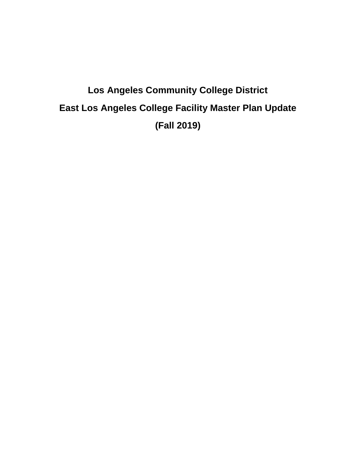# **Los Angeles Community College District East Los Angeles College Facility Master Plan Update (Fall 2019)**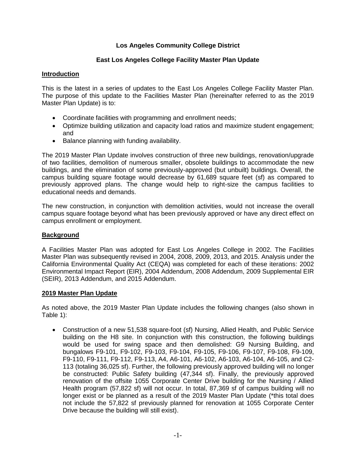# **Los Angeles Community College District**

# **East Los Angeles College Facility Master Plan Update**

# **Introduction**

This is the latest in a series of updates to the East Los Angeles College Facility Master Plan. The purpose of this update to the Facilities Master Plan (hereinafter referred to as the 2019 Master Plan Update) is to:

- Coordinate facilities with programming and enrollment needs;
- Optimize building utilization and capacity load ratios and maximize student engagement; and
- Balance planning with funding availability.

The 2019 Master Plan Update involves construction of three new buildings, renovation/upgrade of two facilities, demolition of numerous smaller, obsolete buildings to accommodate the new buildings, and the elimination of some previously-approved (but unbuilt) buildings. Overall, the campus building square footage would decrease by 61,689 square feet (sf) as compared to previously approved plans. The change would help to right-size the campus facilities to educational needs and demands.

The new construction, in conjunction with demolition activities, would not increase the overall campus square footage beyond what has been previously approved or have any direct effect on campus enrollment or employment.

### **Background**

A Facilities Master Plan was adopted for East Los Angeles College in 2002. The Facilities Master Plan was subsequently revised in 2004, 2008, 2009, 2013, and 2015. Analysis under the California Environmental Quality Act (CEQA) was completed for each of these iterations: 2002 Environmental Impact Report (EIR), 2004 Addendum, 2008 Addendum, 2009 Supplemental EIR (SEIR), 2013 Addendum, and 2015 Addendum.

### **2019 Master Plan Update**

As noted above, the 2019 Master Plan Update includes the following changes (also shown in Table 1):

• Construction of a new 51,538 square-foot (sf) Nursing, Allied Health, and Public Service building on the H8 site. In conjunction with this construction, the following buildings would be used for swing space and then demolished: G9 Nursing Building, and bungalows F9-101, F9-102, F9-103, F9-104, F9-105, F9-106, F9-107, F9-108, F9-109, F9-110, F9-111, F9-112, F9-113, A4, A6-101, A6-102, A6-103, A6-104, A6-105, and C2- 113 (totaling 36,025 sf). Further, the following previously approved building will no longer be constructed: Public Safety building (47,344 sf). Finally, the previously approved renovation of the offsite 1055 Corporate Center Drive building for the Nursing / Allied Health program (57,822 sf) will not occur. In total, 87,369 sf of campus building will no longer exist or be planned as a result of the 2019 Master Plan Update (\*this total does not include the 57,822 sf previously planned for renovation at 1055 Corporate Center Drive because the building will still exist).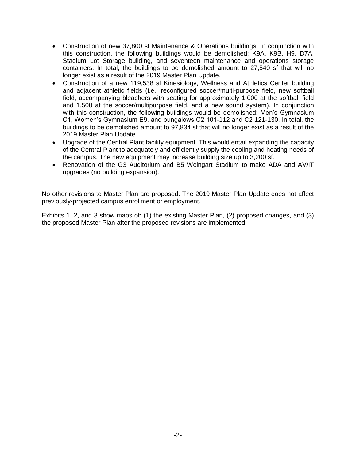- Construction of new 37,800 sf Maintenance & Operations buildings. In conjunction with this construction, the following buildings would be demolished: K9A, K9B, H9, D7A, Stadium Lot Storage building, and seventeen maintenance and operations storage containers. In total, the buildings to be demolished amount to 27,540 sf that will no longer exist as a result of the 2019 Master Plan Update.
- Construction of a new 119,538 sf Kinesiology, Wellness and Athletics Center building and adjacent athletic fields (i.e., reconfigured soccer/multi-purpose field, new softball field, accompanying bleachers with seating for approximately 1,000 at the softball field and 1,500 at the soccer/multipurpose field, and a new sound system). In conjunction with this construction, the following buildings would be demolished: Men's Gymnasium C1, Women's Gymnasium E9, and bungalows C2 101-112 and C2 121-130. In total, the buildings to be demolished amount to 97,834 sf that will no longer exist as a result of the 2019 Master Plan Update.
- Upgrade of the Central Plant facility equipment. This would entail expanding the capacity of the Central Plant to adequately and efficiently supply the cooling and heating needs of the campus. The new equipment may increase building size up to 3,200 sf.
- Renovation of the G3 Auditorium and B5 Weingart Stadium to make ADA and AV/IT upgrades (no building expansion).

No other revisions to Master Plan are proposed. The 2019 Master Plan Update does not affect previously-projected campus enrollment or employment.

Exhibits 1, 2, and 3 show maps of: (1) the existing Master Plan, (2) proposed changes, and (3) the proposed Master Plan after the proposed revisions are implemented.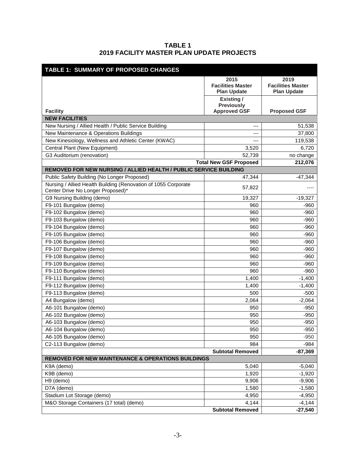# **TABLE 1 2019 FACILITY MASTER PLAN UPDATE PROJECTS**

| <b>TABLE 1: SUMMARY OF PROPOSED CHANGES</b>                                                         |                                                        |                                                        |  |
|-----------------------------------------------------------------------------------------------------|--------------------------------------------------------|--------------------------------------------------------|--|
|                                                                                                     | 2015<br><b>Facilities Master</b><br><b>Plan Update</b> | 2019<br><b>Facilities Master</b><br><b>Plan Update</b> |  |
|                                                                                                     | Existing/<br><b>Previously</b>                         |                                                        |  |
| <b>Facility</b>                                                                                     | <b>Approved GSF</b>                                    | <b>Proposed GSF</b>                                    |  |
| <b>NEW FACILITIES</b>                                                                               |                                                        |                                                        |  |
| New Nursing / Allied Health / Public Service Building                                               | ---                                                    | 51,538                                                 |  |
| New Maintenance & Operations Buildings                                                              | ---                                                    | 37,800                                                 |  |
| New Kinesiology, Wellness and Athletic Center (KWAC)                                                | ---                                                    | 119,538                                                |  |
| Central Plant (New Equipment)                                                                       | 3,520                                                  | 6,720                                                  |  |
| G3 Auditorium (renovation)                                                                          | 52,739                                                 | no change                                              |  |
|                                                                                                     | <b>Total New GSF Proposed</b>                          | 212,076                                                |  |
| REMOVED FOR NEW NURSING / ALLIED HEALTH / PUBLIC SERVICE BUILDING                                   |                                                        |                                                        |  |
| Public Safety Building (No Longer Proposed)                                                         | 47,344                                                 | -47,344                                                |  |
| Nursing / Allied Health Building (Renovation of 1055 Corporate<br>Center Drive No Longer Proposed)* | 57,822                                                 | ----                                                   |  |
| G9 Nursing Building (demo)                                                                          | 19,327                                                 | $-19,327$                                              |  |
| F9-101 Bungalow (demo)                                                                              | 960                                                    | $-960$                                                 |  |
| F9-102 Bungalow (demo)                                                                              | 960                                                    | -960                                                   |  |
| F9-103 Bungalow (demo)                                                                              | 960                                                    | $-960$                                                 |  |
| F9-104 Bungalow (demo)                                                                              | 960                                                    | -960                                                   |  |
| F9-105 Bungalow (demo)                                                                              | 960                                                    | -960                                                   |  |
| F9-106 Bungalow (demo)                                                                              | 960                                                    | $-960$                                                 |  |
| F9-107 Bungalow (demo)                                                                              | 960                                                    | $-960$                                                 |  |
| F9-108 Bungalow (demo)                                                                              | 960                                                    | $-960$                                                 |  |
| F9-109 Bungalow (demo)                                                                              | 960                                                    | $-960$                                                 |  |
| F9-110 Bungalow (demo)                                                                              | 960                                                    | $-960$                                                 |  |
| F9-111 Bungalow (demo)                                                                              | 1,400                                                  | $-1,400$                                               |  |
| F9-112 Bungalow (demo)                                                                              | 1,400                                                  | $-1,400$                                               |  |
| F9-113 Bungalow (demo)                                                                              | 500                                                    | $-500$                                                 |  |
| A4 Bungalow (demo)                                                                                  | 2,064                                                  | $-2,064$                                               |  |
| A6-101 Bungalow (demo)                                                                              | 950                                                    | $-950$                                                 |  |
| A6-102 Bungalow (demo)                                                                              | 950                                                    | $-950$                                                 |  |
| A6-103 Bungalow (demo)                                                                              | 950                                                    | $-950$                                                 |  |
| A6-104 Bungalow (demo)                                                                              | 950                                                    | $-950$                                                 |  |
| A6-105 Bungalow (demo)                                                                              | 950                                                    | $-950$                                                 |  |
| C2-113 Bungalow (demo)                                                                              | 984                                                    | $-984$                                                 |  |
|                                                                                                     | <b>Subtotal Removed</b>                                | $-87,369$                                              |  |
| <b>REMOVED FOR NEW MAINTENANCE &amp; OPERATIONS BUILDINGS</b>                                       |                                                        |                                                        |  |
| K9A (demo)                                                                                          | 5,040                                                  | $-5,040$                                               |  |
| K9B (demo)                                                                                          | 1,920                                                  | $-1,920$                                               |  |
| H9 (demo)                                                                                           | 9,906                                                  | $-9,906$                                               |  |
| D7A (demo)                                                                                          | 1,580                                                  | $-1,580$                                               |  |
| Stadium Lot Storage (demo)                                                                          | 4,950                                                  | $-4,950$                                               |  |
| M&O Storage Containers (17 total) (demo)                                                            | 4,144                                                  | $-4,144$                                               |  |
|                                                                                                     | <b>Subtotal Removed</b>                                | $-27,540$                                              |  |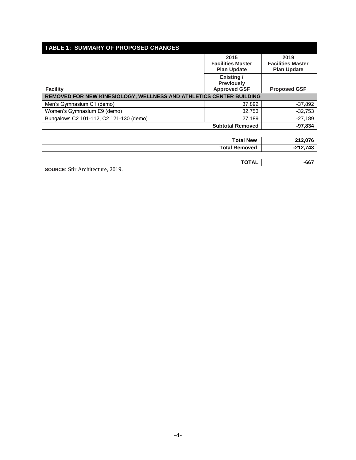| <b>TABLE 1: SUMMARY OF PROPOSED CHANGES</b>                         |                                                |                                                |  |
|---------------------------------------------------------------------|------------------------------------------------|------------------------------------------------|--|
|                                                                     | 2015                                           | 2019                                           |  |
|                                                                     | <b>Facilities Master</b><br><b>Plan Update</b> | <b>Facilities Master</b><br><b>Plan Update</b> |  |
|                                                                     | Existing/<br><b>Previously</b>                 |                                                |  |
| <b>Facility</b>                                                     | <b>Approved GSF</b>                            | <b>Proposed GSF</b>                            |  |
| REMOVED FOR NEW KINESIOLOGY, WELLNESS AND ATHLETICS CENTER BUILDING |                                                |                                                |  |
| Men's Gymnasium C1 (demo)                                           | 37,892                                         | $-37,892$                                      |  |
| Women's Gymnasium E9 (demo)                                         | 32,753                                         | $-32,753$                                      |  |
| Bungalows C2 101-112, C2 121-130 (demo)                             | 27,189                                         | $-27,189$                                      |  |
|                                                                     | <b>Subtotal Removed</b>                        | $-97,834$                                      |  |
|                                                                     |                                                |                                                |  |
|                                                                     | <b>Total New</b>                               | 212,076                                        |  |
|                                                                     | <b>Total Removed</b>                           | $-212,743$                                     |  |
|                                                                     |                                                |                                                |  |
|                                                                     | <b>TOTAL</b>                                   | -667                                           |  |
| <b>SOURCE:</b> Stir Architecture, 2019.                             |                                                |                                                |  |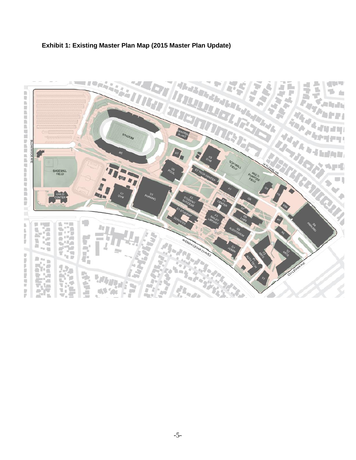

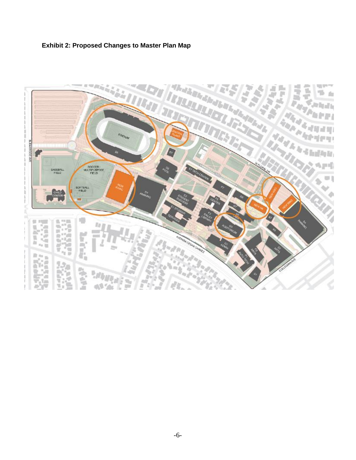

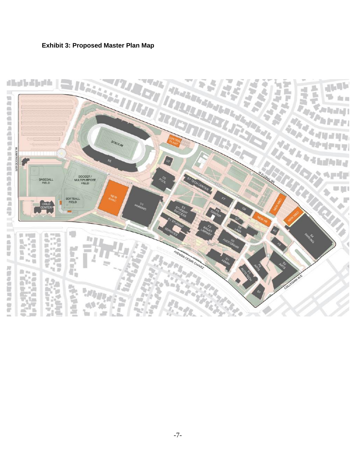

# **Exhibit 3: Proposed Master Plan Map**